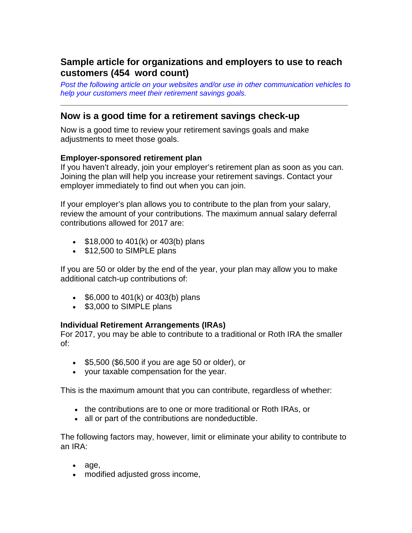# **Sample article for organizations and employers to use to reach customers (454 word count)**

*Post the following article on your websites and/or use in other communication vehicles to help your customers meet their retirement savings goals.*

**\_\_\_\_\_\_\_\_\_\_\_\_\_\_\_\_\_\_\_\_\_\_\_\_\_\_\_\_\_\_\_\_\_\_\_\_\_\_\_\_\_\_\_\_\_\_\_\_\_\_\_\_\_\_\_\_\_\_\_\_\_\_\_\_**

## **Now is a good time for a retirement savings check-up**

Now is a good time to review your retirement savings goals and make adjustments to meet those goals.

#### **Employer-sponsored retirement plan**

If you haven't already, join your employer's retirement plan as soon as you can. Joining the plan will help you increase your retirement savings. Contact your employer immediately to find out when you can join.

If your employer's plan allows you to contribute to the plan from your salary, review the amount of your contributions. The maximum annual salary deferral contributions allowed for 2017 are:

- \$18,000 to 401(k) or 403(b) plans
- \$12,500 to SIMPLE plans

If you are 50 or older by the end of the year, your plan may allow you to make additional catch-up contributions of:

- \$6,000 to 401(k) or 403(b) plans
- \$3,000 to SIMPLE plans

#### **Individual Retirement Arrangements (IRAs)**

For 2017, you may be able to contribute to a traditional or Roth IRA the smaller of:

- \$5,500 (\$6,500 if you are age 50 or older), or
- your taxable compensation for the year.

This is the maximum amount that you can contribute, regardless of whether:

- the contributions are to one or more traditional or Roth IRAs, or
- all or part of the contributions are nondeductible.

The following factors may, however, limit or eliminate your ability to contribute to an IRA:

- age,
- modified adjusted gross income,